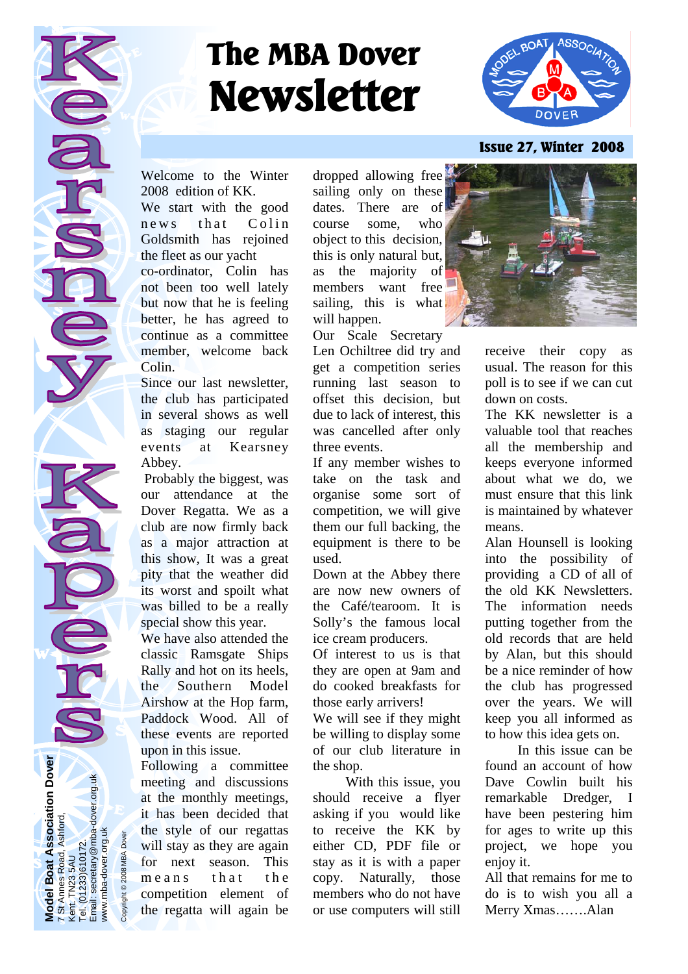# **The MBA Dover Newsletter**



## **Issue 27, Winter 2008**

Welcome to the Winter 2008 edition of KK.

We start with the good news that Colin Goldsmith has rejoined the fleet as our yacht co-ordinator, Colin has not been too well lately but now that he is feeling better, he has agreed to continue as a committee member, welcome back Colin.

Since our last newsletter, the club has participated in several shows as well as staging our regular events at Kearsney Abbey.

 Probably the biggest, was our attendance at the Dover Regatta. We as a club are now firmly back as a major attraction at this show, It was a great pity that the weather did its worst and spoilt what was billed to be a really special show this year.

We have also attended the classic Ramsgate Ships Rally and hot on its heels, the Southern Model Airshow at the Hop farm, Paddock Wood. All of these events are reported upon in this issue.

Following a committee meeting and discussions at the monthly meetings, it has been decided that the style of our regattas will stay as they are again for next season. This means that the competition element of the regatta will again be dropped allowing free sailing only on these dates. There are of course some, who object to this decision, this is only natural but, as the majority of members want free sailing, this is what will happen.

Our Scale Secretary

Len Ochiltree did try and get a competition series running last season to offset this decision, but due to lack of interest, this was cancelled after only three events.

If any member wishes to take on the task and organise some sort of competition, we will give them our full backing, the equipment is there to be used.

Down at the Abbey there are now new owners of the Café/tearoom. It is Solly's the famous local ice cream producers.

Of interest to us is that they are open at 9am and do cooked breakfasts for those early arrivers!

We will see if they might be willing to display some of our club literature in the shop.

 With this issue, you should receive a flyer asking if you would like to receive the KK by either CD, PDF file or stay as it is with a paper copy. Naturally, those members who do not have or use computers will still



receive their copy as usual. The reason for this poll is to see if we can cut down on costs.

The KK newsletter is a valuable tool that reaches all the membership and keeps everyone informed about what we do, we must ensure that this link is maintained by whatever means.

Alan Hounsell is looking into the possibility of providing a CD of all of the old KK Newsletters. The information needs putting together from the old records that are held by Alan, but this should be a nice reminder of how the club has progressed over the years. We will keep you all informed as to how this idea gets on.

 In this issue can be found an account of how Dave Cowlin built his remarkable Dredger, I have been pestering him for ages to write up this project, we hope you enjoy it.

All that remains for me to do is to wish you all a Merry Xmas…….Alan

**Model Boat Association Dover Boat Association Dover**<br>es Road, Ashford, t. TN23 5AU<br>(01233)610172.<br>iil: secretary@mba-dover.org.uk Email: secretary@mba-dover.org.uk 7 St Annes Road, Ashford, www.mba-dover.org.uk ww.mba-dover.org.uk Tel. (01233)610172. Kent. TN23 5AU Annes odel Tel. (0<sup>-</sup><br>Email:

Copyright © 2008 MBA Dover

Copyright @ 2008 MBA Dov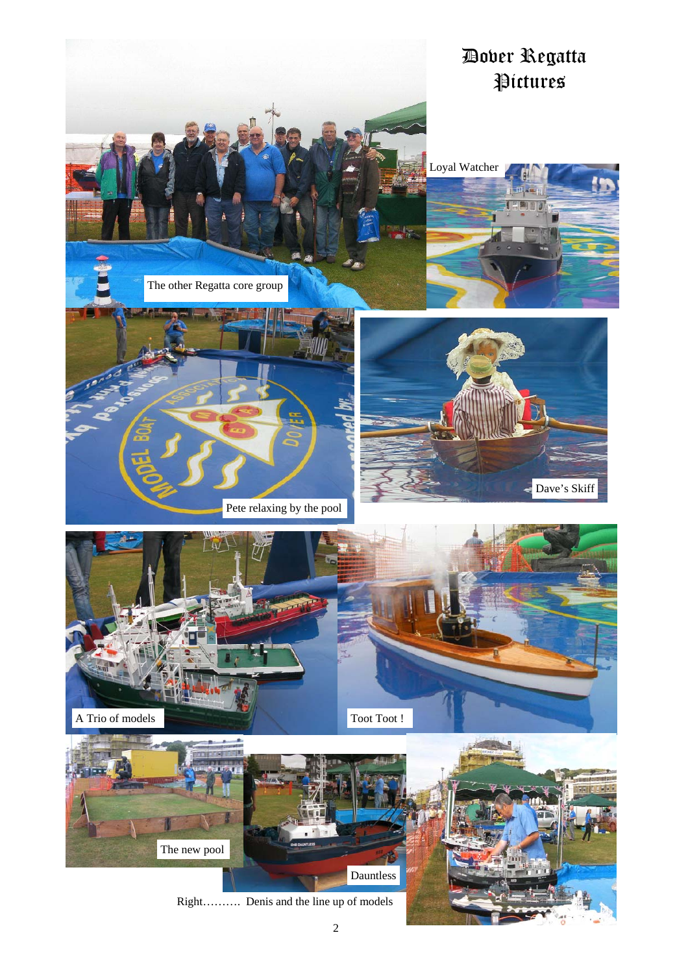

Right………. Denis and the line up of models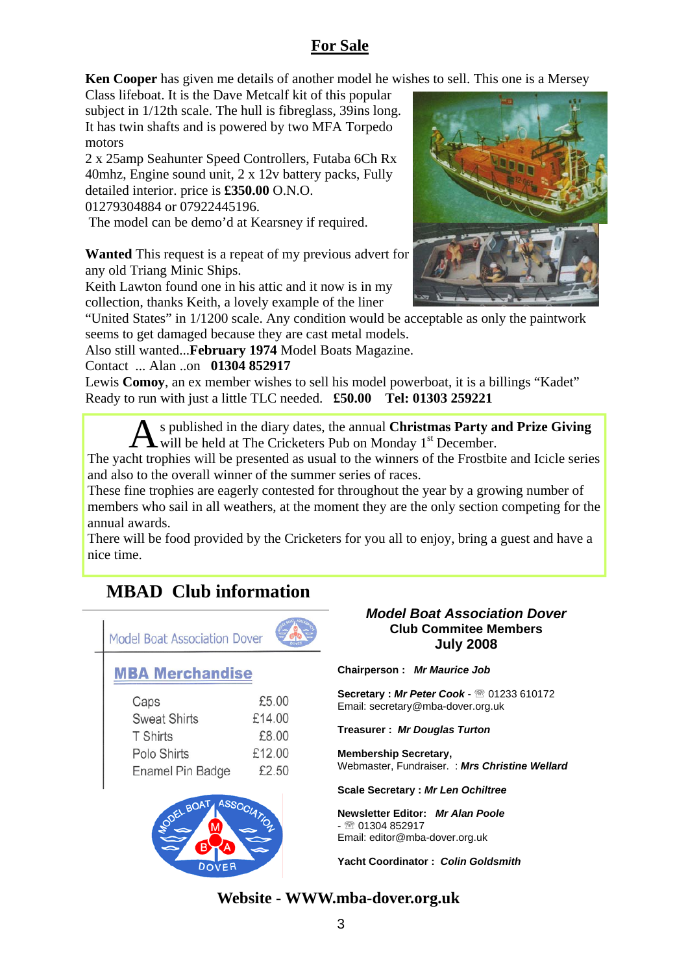# **For Sale**

**Ken Cooper** has given me details of another model he wishes to sell. This one is a Mersey

Class lifeboat. It is the Dave Metcalf kit of this popular subject in 1/12th scale. The hull is fibreglass, 39ins long. It has twin shafts and is powered by two MFA Torpedo motors

2 x 25amp Seahunter Speed Controllers, Futaba 6Ch Rx 40mhz, Engine sound unit, 2 x 12v battery packs, Fully detailed interior. price is **£350.00** O.N.O.

01279304884 or 07922445196.

The model can be demo'd at Kearsney if required.

**Wanted** This request is a repeat of my previous advert for any old Triang Minic Ships.

Keith Lawton found one in his attic and it now is in my collection, thanks Keith, a lovely example of the liner

"United States" in 1/1200 scale. Any condition would be acceptable as only the paintwork seems to get damaged because they are cast metal models.

Also still wanted...**February 1974** Model Boats Magazine.

## Contact ... Alan ..on **01304 852917**

Lewis **Comoy**, an ex member wishes to sell his model powerboat, it is a billings "Kadet" Ready to run with just a little TLC needed. **£50.00 Tel: 01303 259221**

> A s published in the diary dates, the annual **Christmas Party and Prize Giving**  will be held at The Cricketers Pub on Monday  $1<sup>st</sup>$  December.

The yacht trophies will be presented as usual to the winners of the Frostbite and Icicle series and also to the overall winner of the summer series of races.

These fine trophies are eagerly contested for throughout the year by a growing number of members who sail in all weathers, at the moment they are the only section competing for the annual awards.

There will be food provided by the Cricketers for you all to enjoy, bring a guest and have a nice time.

# **MBAD Club information**



#### *Model Boat Association Dover*  **Club Commitee Members July 2008**

**Chairperson :** *Mr Maurice Job* 

**Secretary :** *Mr Peter Cook* - ℡ 01233 610172 Email: secretary@mba-dover.org.uk

**Treasurer :** *Mr Douglas Turton*

**Membership Secretary,**  Webmaster, Fundraiser. : *Mrs Christine Wellard*

**Scale Secretary :** *Mr Len Ochiltree*

**Newsletter Editor:** *Mr Alan Poole*   $-$  <u>®</u> 01304 852917 Email: editor@mba-dover.org.uk

**Yacht Coordinator :** *Colin Goldsmith* 

# **Website - WWW.mba-dover.org.uk**

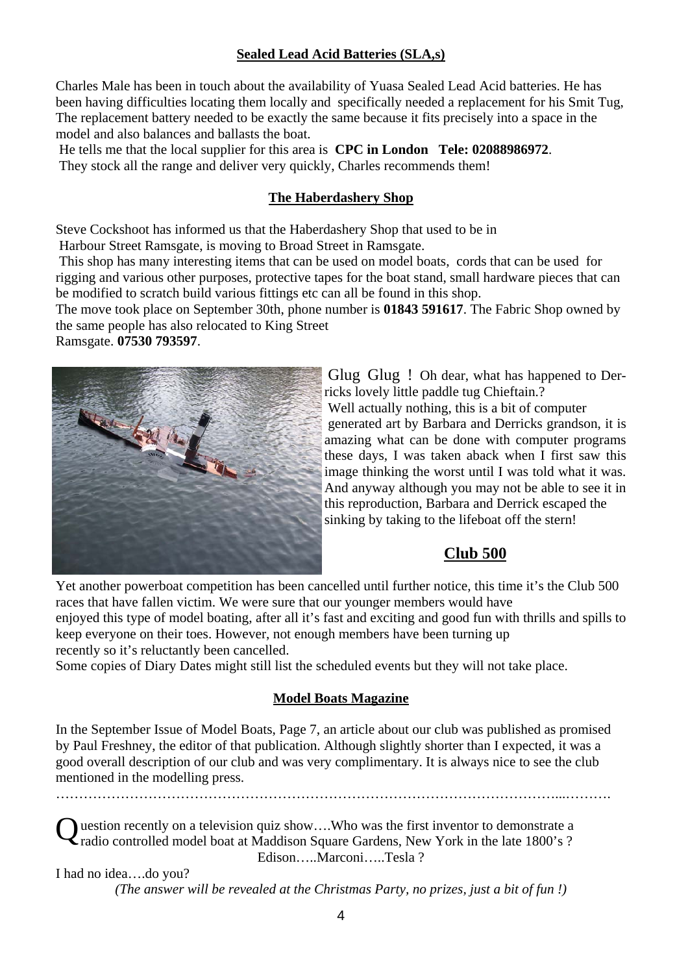## **Sealed Lead Acid Batteries (SLA,s)**

Charles Male has been in touch about the availability of Yuasa Sealed Lead Acid batteries. He has been having difficulties locating them locally and specifically needed a replacement for his Smit Tug, The replacement battery needed to be exactly the same because it fits precisely into a space in the model and also balances and ballasts the boat.

 He tells me that the local supplier for this area is **CPC in London Tele: 02088986972**. They stock all the range and deliver very quickly, Charles recommends them!

## **The Haberdashery Shop**

Steve Cockshoot has informed us that the Haberdashery Shop that used to be in Harbour Street Ramsgate, is moving to Broad Street in Ramsgate.

 This shop has many interesting items that can be used on model boats, cords that can be used for rigging and various other purposes, protective tapes for the boat stand, small hardware pieces that can be modified to scratch build various fittings etc can all be found in this shop.

The move took place on September 30th, phone number is **01843 591617**. The Fabric Shop owned by the same people has also relocated to King Street

Ramsgate. **07530 793597**.



Glug Glug ! Oh dear, what has happened to Derricks lovely little paddle tug Chieftain.? Well actually nothing, this is a bit of computer generated art by Barbara and Derricks grandson, it is amazing what can be done with computer programs these days, I was taken aback when I first saw this image thinking the worst until I was told what it was. And anyway although you may not be able to see it in this reproduction, Barbara and Derrick escaped the sinking by taking to the lifeboat off the stern!

## **Club 500**

Yet another powerboat competition has been cancelled until further notice, this time it's the Club 500 races that have fallen victim. We were sure that our younger members would have enjoyed this type of model boating, after all it's fast and exciting and good fun with thrills and spills to keep everyone on their toes. However, not enough members have been turning up recently so it's reluctantly been cancelled.

Some copies of Diary Dates might still list the scheduled events but they will not take place.

## **Model Boats Magazine**

In the September Issue of Model Boats, Page 7, an article about our club was published as promised by Paul Freshney, the editor of that publication. Although slightly shorter than I expected, it was a good overall description of our club and was very complimentary. It is always nice to see the club mentioned in the modelling press.

 $\mathcal{L}^{\text{max}}$ 

destion recently on a television quiz show....Who was the first inventor to demonstrate a radio controlled model boat at Maddison Square Gardens, New York in the late 1800's ? Edison…..Marconi…..Tesla ?

I had no idea….do you? *(The answer will be revealed at the Christmas Party, no prizes, just a bit of fun !)*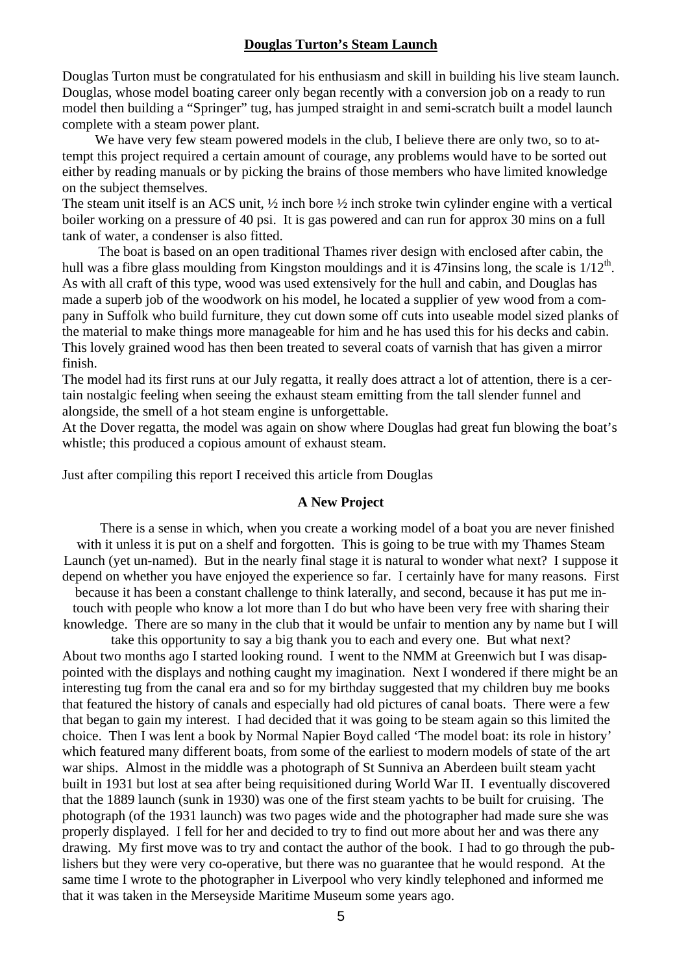#### **Douglas Turton's Steam Launch**

Douglas Turton must be congratulated for his enthusiasm and skill in building his live steam launch. Douglas, whose model boating career only began recently with a conversion job on a ready to run model then building a "Springer" tug, has jumped straight in and semi-scratch built a model launch complete with a steam power plant.

 We have very few steam powered models in the club, I believe there are only two, so to attempt this project required a certain amount of courage, any problems would have to be sorted out either by reading manuals or by picking the brains of those members who have limited knowledge on the subject themselves.

The steam unit itself is an ACS unit,  $\frac{1}{2}$  inch bore  $\frac{1}{2}$  inch stroke twin cylinder engine with a vertical boiler working on a pressure of 40 psi. It is gas powered and can run for approx 30 mins on a full tank of water, a condenser is also fitted.

 The boat is based on an open traditional Thames river design with enclosed after cabin, the hull was a fibre glass moulding from Kingston mouldings and it is 47 insins long, the scale is  $1/12^{th}$ . As with all craft of this type, wood was used extensively for the hull and cabin, and Douglas has made a superb job of the woodwork on his model, he located a supplier of yew wood from a company in Suffolk who build furniture, they cut down some off cuts into useable model sized planks of the material to make things more manageable for him and he has used this for his decks and cabin. This lovely grained wood has then been treated to several coats of varnish that has given a mirror finish.

The model had its first runs at our July regatta, it really does attract a lot of attention, there is a certain nostalgic feeling when seeing the exhaust steam emitting from the tall slender funnel and alongside, the smell of a hot steam engine is unforgettable.

At the Dover regatta, the model was again on show where Douglas had great fun blowing the boat's whistle; this produced a copious amount of exhaust steam.

Just after compiling this report I received this article from Douglas

#### **A New Project**

 There is a sense in which, when you create a working model of a boat you are never finished with it unless it is put on a shelf and forgotten. This is going to be true with my Thames Steam Launch (yet un-named). But in the nearly final stage it is natural to wonder what next? I suppose it depend on whether you have enjoyed the experience so far. I certainly have for many reasons. First

because it has been a constant challenge to think laterally, and second, because it has put me intouch with people who know a lot more than I do but who have been very free with sharing their knowledge. There are so many in the club that it would be unfair to mention any by name but I will

take this opportunity to say a big thank you to each and every one. But what next? About two months ago I started looking round. I went to the NMM at Greenwich but I was disappointed with the displays and nothing caught my imagination. Next I wondered if there might be an interesting tug from the canal era and so for my birthday suggested that my children buy me books that featured the history of canals and especially had old pictures of canal boats. There were a few that began to gain my interest. I had decided that it was going to be steam again so this limited the choice. Then I was lent a book by Normal Napier Boyd called 'The model boat: its role in history' which featured many different boats, from some of the earliest to modern models of state of the art war ships. Almost in the middle was a photograph of St Sunniva an Aberdeen built steam yacht built in 1931 but lost at sea after being requisitioned during World War II. I eventually discovered that the 1889 launch (sunk in 1930) was one of the first steam yachts to be built for cruising. The photograph (of the 1931 launch) was two pages wide and the photographer had made sure she was properly displayed. I fell for her and decided to try to find out more about her and was there any drawing. My first move was to try and contact the author of the book. I had to go through the publishers but they were very co-operative, but there was no guarantee that he would respond. At the same time I wrote to the photographer in Liverpool who very kindly telephoned and informed me that it was taken in the Merseyside Maritime Museum some years ago.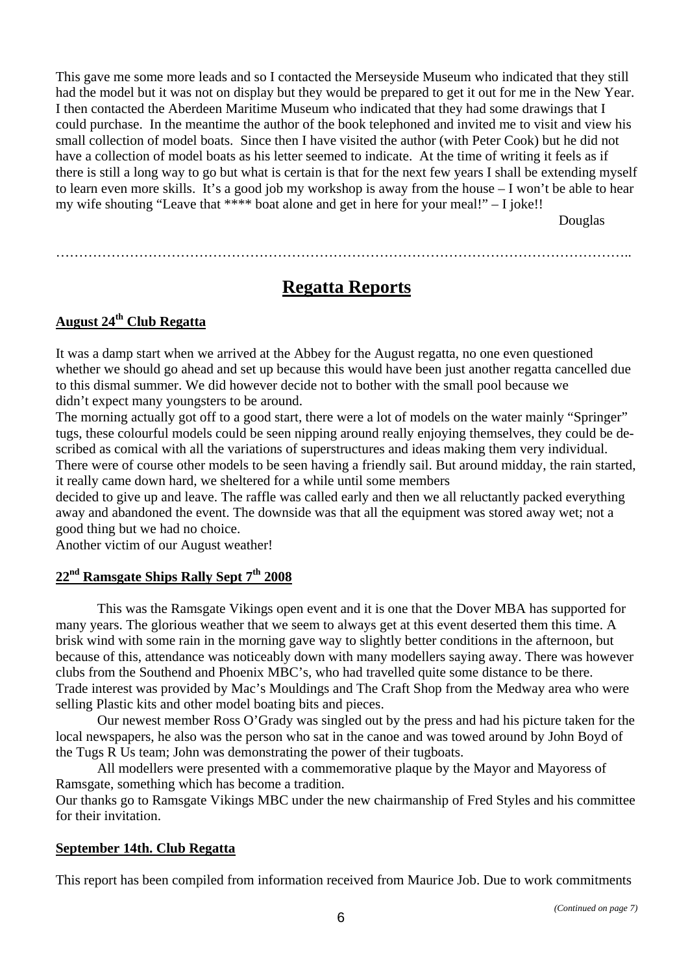This gave me some more leads and so I contacted the Merseyside Museum who indicated that they still had the model but it was not on display but they would be prepared to get it out for me in the New Year. I then contacted the Aberdeen Maritime Museum who indicated that they had some drawings that I could purchase. In the meantime the author of the book telephoned and invited me to visit and view his small collection of model boats. Since then I have visited the author (with Peter Cook) but he did not have a collection of model boats as his letter seemed to indicate. At the time of writing it feels as if there is still a long way to go but what is certain is that for the next few years I shall be extending myself to learn even more skills. It's a good job my workshop is away from the house – I won't be able to hear my wife shouting "Leave that \*\*\*\* boat alone and get in here for your meal!" – I joke!!

Douglas

……………………………………………………………………………………………………………..

# **Regatta Reports**

## **August 24th Club Regatta**

It was a damp start when we arrived at the Abbey for the August regatta, no one even questioned whether we should go ahead and set up because this would have been just another regatta cancelled due to this dismal summer. We did however decide not to bother with the small pool because we didn't expect many youngsters to be around.

The morning actually got off to a good start, there were a lot of models on the water mainly "Springer" tugs, these colourful models could be seen nipping around really enjoying themselves, they could be described as comical with all the variations of superstructures and ideas making them very individual. There were of course other models to be seen having a friendly sail. But around midday, the rain started, it really came down hard, we sheltered for a while until some members

decided to give up and leave. The raffle was called early and then we all reluctantly packed everything away and abandoned the event. The downside was that all the equipment was stored away wet; not a good thing but we had no choice.

Another victim of our August weather!

## **22nd Ramsgate Ships Rally Sept 7th 2008**

This was the Ramsgate Vikings open event and it is one that the Dover MBA has supported for many years. The glorious weather that we seem to always get at this event deserted them this time. A brisk wind with some rain in the morning gave way to slightly better conditions in the afternoon, but because of this, attendance was noticeably down with many modellers saying away. There was however clubs from the Southend and Phoenix MBC's, who had travelled quite some distance to be there. Trade interest was provided by Mac's Mouldings and The Craft Shop from the Medway area who were selling Plastic kits and other model boating bits and pieces.

Our newest member Ross O'Grady was singled out by the press and had his picture taken for the local newspapers, he also was the person who sat in the canoe and was towed around by John Boyd of the Tugs R Us team; John was demonstrating the power of their tugboats.

All modellers were presented with a commemorative plaque by the Mayor and Mayoress of Ramsgate, something which has become a tradition.

Our thanks go to Ramsgate Vikings MBC under the new chairmanship of Fred Styles and his committee for their invitation.

#### **September 14th. Club Regatta**

This report has been compiled from information received from Maurice Job. Due to work commitments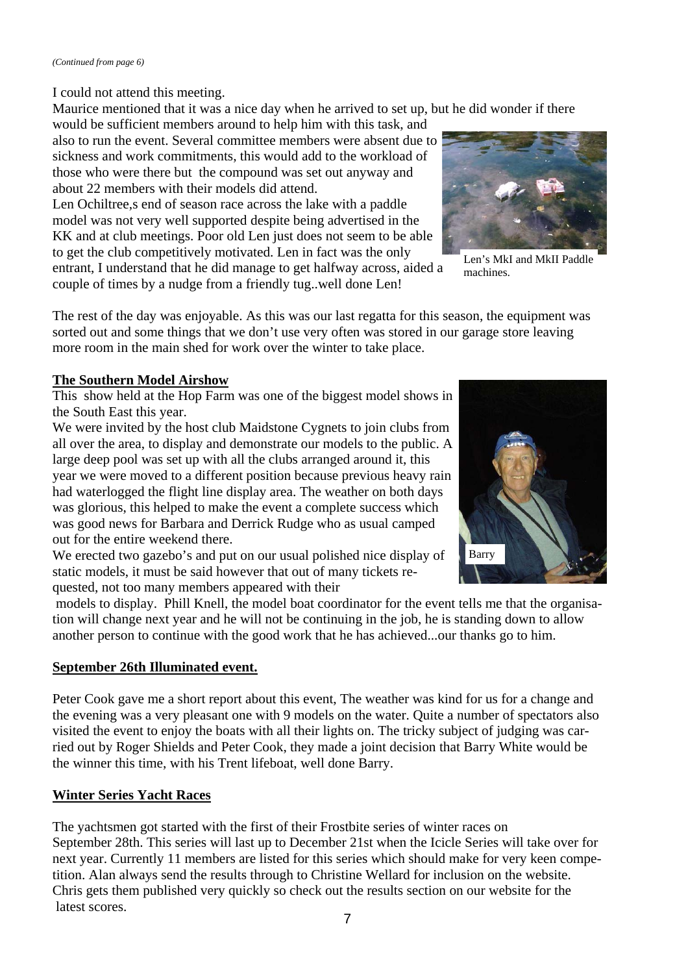I could not attend this meeting.

Maurice mentioned that it was a nice day when he arrived to set up, but he did wonder if there

would be sufficient members around to help him with this task, and also to run the event. Several committee members were absent due to sickness and work commitments, this would add to the workload of those who were there but the compound was set out anyway and about 22 members with their models did attend.

Len Ochiltree, s end of season race across the lake with a paddle model was not very well supported despite being advertised in the KK and at club meetings. Poor old Len just does not seem to be able to get the club competitively motivated. Len in fact was the only entrant, I understand that he did manage to get halfway across, aided a couple of times by a nudge from a friendly tug..well done Len!



Len's MkI and MkII Paddle machines.

The rest of the day was enjoyable. As this was our last regatta for this season, the equipment was sorted out and some things that we don't use very often was stored in our garage store leaving more room in the main shed for work over the winter to take place.

## **The Southern Model Airshow**

This show held at the Hop Farm was one of the biggest model shows in the South East this year.

We were invited by the host club Maidstone Cygnets to join clubs from all over the area, to display and demonstrate our models to the public. A large deep pool was set up with all the clubs arranged around it, this year we were moved to a different position because previous heavy rain had waterlogged the flight line display area. The weather on both days was glorious, this helped to make the event a complete success which was good news for Barbara and Derrick Rudge who as usual camped out for the entire weekend there.

We erected two gazebo's and put on our usual polished nice display of static models, it must be said however that out of many tickets requested, not too many members appeared with their



 models to display. Phill Knell, the model boat coordinator for the event tells me that the organisation will change next year and he will not be continuing in the job, he is standing down to allow another person to continue with the good work that he has achieved...our thanks go to him.

## **September 26th Illuminated event.**

Peter Cook gave me a short report about this event, The weather was kind for us for a change and the evening was a very pleasant one with 9 models on the water. Quite a number of spectators also visited the event to enjoy the boats with all their lights on. The tricky subject of judging was carried out by Roger Shields and Peter Cook, they made a joint decision that Barry White would be the winner this time, with his Trent lifeboat, well done Barry.

## **Winter Series Yacht Races**

The yachtsmen got started with the first of their Frostbite series of winter races on September 28th. This series will last up to December 21st when the Icicle Series will take over for next year. Currently 11 members are listed for this series which should make for very keen competition. Alan always send the results through to Christine Wellard for inclusion on the website. Chris gets them published very quickly so check out the results section on our website for the latest scores.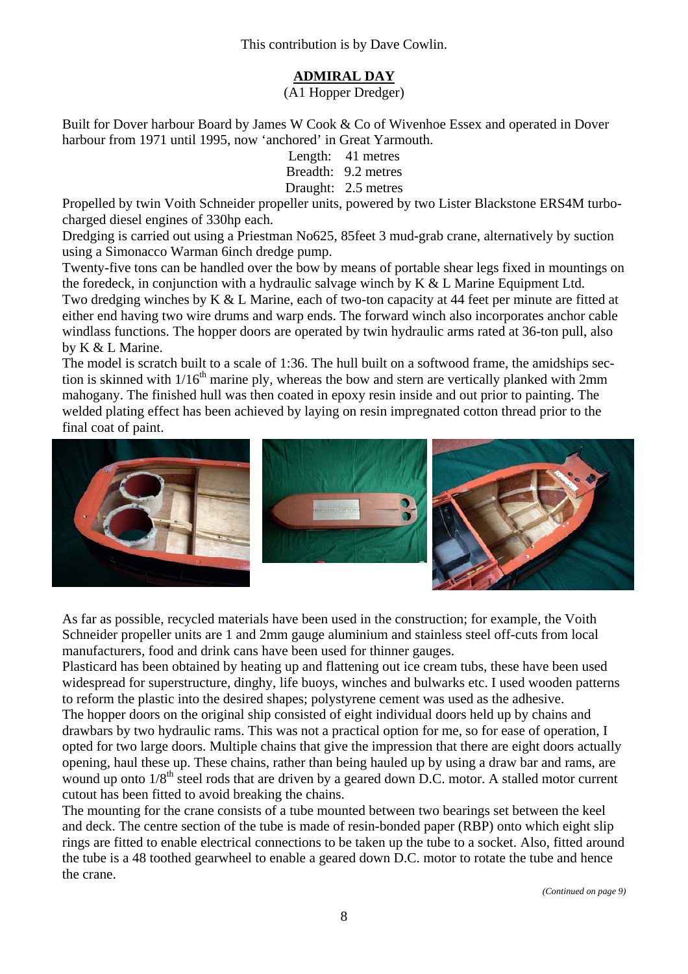This contribution is by Dave Cowlin.

## **ADMIRAL DAY**

(A1 Hopper Dredger)

Built for Dover harbour Board by James W Cook & Co of Wivenhoe Essex and operated in Dover harbour from 1971 until 1995, now 'anchored' in Great Yarmouth.

> Length: 41 metres Breadth: 9.2 metres Draught: 2.5 metres

Propelled by twin Voith Schneider propeller units, powered by two Lister Blackstone ERS4M turbocharged diesel engines of 330hp each.

Dredging is carried out using a Priestman No625, 85feet 3 mud-grab crane, alternatively by suction using a Simonacco Warman 6inch dredge pump.

Twenty-five tons can be handled over the bow by means of portable shear legs fixed in mountings on the foredeck, in conjunction with a hydraulic salvage winch by K & L Marine Equipment Ltd. Two dredging winches by K & L Marine, each of two-ton capacity at 44 feet per minute are fitted at either end having two wire drums and warp ends. The forward winch also incorporates anchor cable windlass functions. The hopper doors are operated by twin hydraulic arms rated at 36-ton pull, also by K & L Marine.

The model is scratch built to a scale of 1:36. The hull built on a softwood frame, the amidships section is skinned with  $1/16<sup>th</sup>$  marine ply, whereas the bow and stern are vertically planked with  $2mm$ mahogany. The finished hull was then coated in epoxy resin inside and out prior to painting. The welded plating effect has been achieved by laying on resin impregnated cotton thread prior to the final coat of paint.



As far as possible, recycled materials have been used in the construction; for example, the Voith Schneider propeller units are 1 and 2mm gauge aluminium and stainless steel off-cuts from local manufacturers, food and drink cans have been used for thinner gauges.

Plasticard has been obtained by heating up and flattening out ice cream tubs, these have been used widespread for superstructure, dinghy, life buoys, winches and bulwarks etc. I used wooden patterns to reform the plastic into the desired shapes; polystyrene cement was used as the adhesive. The hopper doors on the original ship consisted of eight individual doors held up by chains and drawbars by two hydraulic rams. This was not a practical option for me, so for ease of operation, I opted for two large doors. Multiple chains that give the impression that there are eight doors actually opening, haul these up. These chains, rather than being hauled up by using a draw bar and rams, are wound up onto  $1/8<sup>th</sup>$  steel rods that are driven by a geared down D.C. motor. A stalled motor current cutout has been fitted to avoid breaking the chains.

The mounting for the crane consists of a tube mounted between two bearings set between the keel and deck. The centre section of the tube is made of resin-bonded paper (RBP) onto which eight slip rings are fitted to enable electrical connections to be taken up the tube to a socket. Also, fitted around the tube is a 48 toothed gearwheel to enable a geared down D.C. motor to rotate the tube and hence the crane.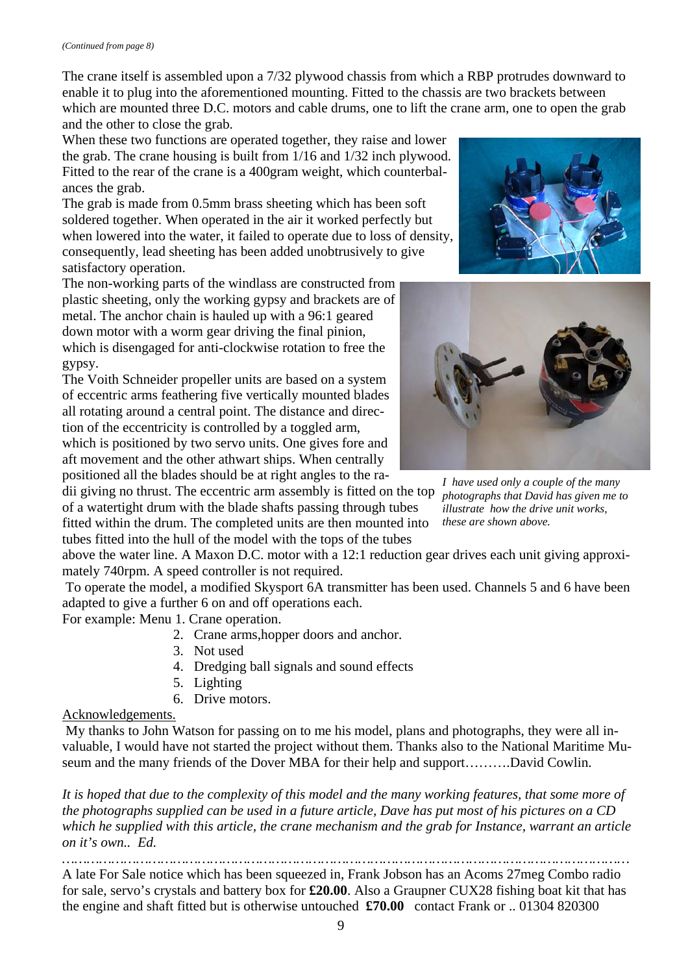The crane itself is assembled upon a 7/32 plywood chassis from which a RBP protrudes downward to enable it to plug into the aforementioned mounting. Fitted to the chassis are two brackets between which are mounted three D.C. motors and cable drums, one to lift the crane arm, one to open the grab and the other to close the grab.

When these two functions are operated together, they raise and lower the grab. The crane housing is built from 1/16 and 1/32 inch plywood. Fitted to the rear of the crane is a 400gram weight, which counterbalances the grab.

The grab is made from 0.5mm brass sheeting which has been soft soldered together. When operated in the air it worked perfectly but when lowered into the water, it failed to operate due to loss of density, consequently, lead sheeting has been added unobtrusively to give satisfactory operation.

The non-working parts of the windlass are constructed from plastic sheeting, only the working gypsy and brackets are of metal. The anchor chain is hauled up with a 96:1 geared down motor with a worm gear driving the final pinion, which is disengaged for anti-clockwise rotation to free the gypsy.

The Voith Schneider propeller units are based on a system of eccentric arms feathering five vertically mounted blades all rotating around a central point. The distance and direction of the eccentricity is controlled by a toggled arm, which is positioned by two servo units. One gives fore and

aft movement and the other athwart ships. When centrally positioned all the blades should be at right angles to the ra-

dii giving no thrust. The eccentric arm assembly is fitted on the top of a watertight drum with the blade shafts passing through tubes fitted within the drum. The completed units are then mounted into tubes fitted into the hull of the model with the tops of the tubes

above the water line. A Maxon D.C. motor with a 12:1 reduction gear drives each unit giving approximately 740rpm. A speed controller is not required.

 To operate the model, a modified Skysport 6A transmitter has been used. Channels 5 and 6 have been adapted to give a further 6 on and off operations each.

For example: Menu 1. Crane operation.

- 2. Crane arms,hopper doors and anchor.
- 3. Not used
- 4. Dredging ball signals and sound effects
- 5. Lighting
- 6. Drive motors.

### Acknowledgements.

 My thanks to John Watson for passing on to me his model, plans and photographs, they were all invaluable, I would have not started the project without them. Thanks also to the National Maritime Museum and the many friends of the Dover MBA for their help and support……….David Cowlin.

*It is hoped that due to the complexity of this model and the many working features, that some more of the photographs supplied can be used in a future article, Dave has put most of his pictures on a CD which he supplied with this article, the crane mechanism and the grab for Instance, warrant an article on it's own.. Ed.* 

*…………………………………………………………………………………………………………………………*  A late For Sale notice which has been squeezed in, Frank Jobson has an Acoms 27meg Combo radio for sale, servo's crystals and battery box for **£20.00**. Also a Graupner CUX28 fishing boat kit that has the engine and shaft fitted but is otherwise untouched **£70.00** contact Frank or .. 01304 820300





*I have used only a couple of the many photographs that David has given me to illustrate how the drive unit works, these are shown above.*